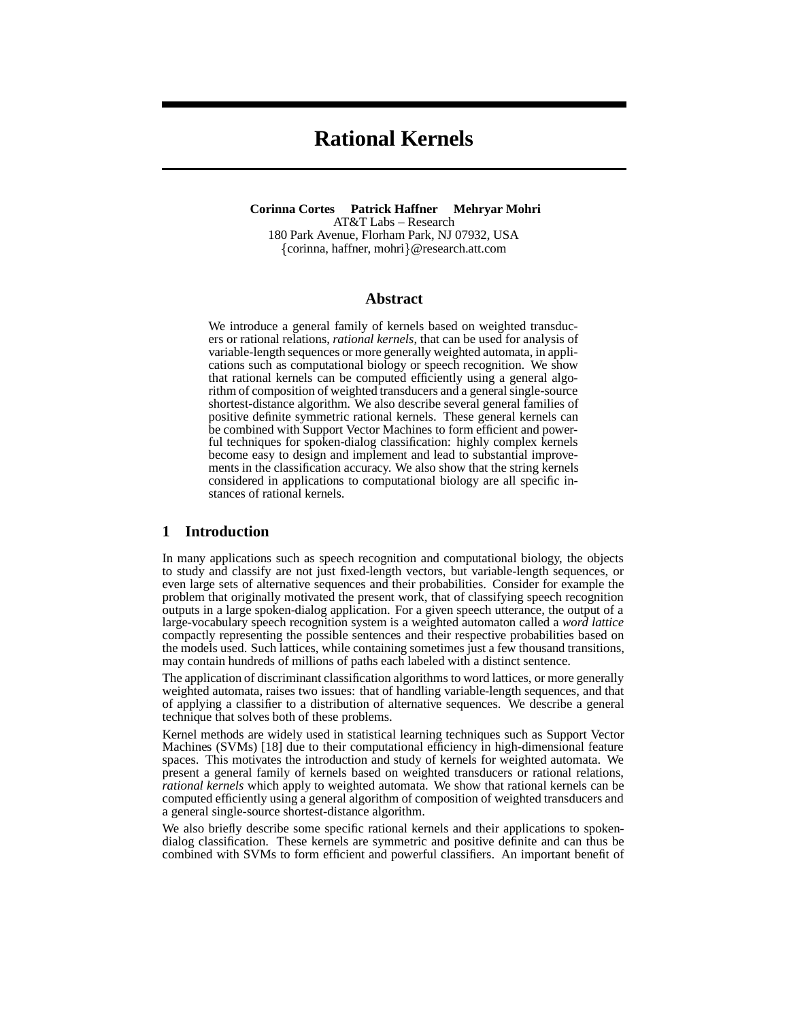# **Rational Kernels**

#### **Corinna Cortes Patrick Haffner Mehryar Mohri** AT&T Labs – Research 180 Park Avenue, Florham Park, NJ 07932, USA {corinna, haffner, mohri}@research.att.com

## **Abstract**

We introduce a general family of kernels based on weighted transducers or rational relations, *rational kernels*, that can be used for analysis of variable-length sequences or more generally weighted automata, in applications such as computational biology or speech recognition. We show that rational kernels can be computed efficiently using a general algorithm of composition of weighted transducers and a general single-source shortest-distance algorithm. We also describe several general families of positive definite symmetric rational kernels. These general kernels can be combined with Support Vector Machines to form efficient and powerful techniques for spoken-dialog classification: highly complex kernels become easy to design and implement and lead to substantial improvements in the classification accuracy. We also show that the string kernels considered in applications to computational biology are all specific instances of rational kernels.

## **1 Introduction**

In many applications such as speech recognition and computational biology, the objects to study and classify are not just fixed-length vectors, but variable-length sequences, or even large sets of alternative sequences and their probabilities. Consider for example the problem that originally motivated the present work, that of classifying speech recognition outputs in a large spoken-dialog application. For a given speech utterance, the output of a large-vocabulary speech recognition system is a weighted automaton called a *word lattice* compactly representing the possible sentences and their respective probabilities based on the models used. Such lattices, while containing sometimes just a few thousand transitions, may contain hundreds of millions of paths each labeled with a distinct sentence.

The application of discriminant classification algorithms to word lattices, or more generally weighted automata, raises two issues: that of handling variable-length sequences, and that of applying a classifier to a distribution of alternative sequences. We describe a general technique that solves both of these problems.

Kernel methods are widely used in statistical learning techniques such as Support Vector Machines (SVMs) [18] due to their computational efficiency in high-dimensional feature spaces. This motivates the introduction and study of kernels for weighted automata. We present a general family of kernels based on weighted transducers or rational relations, *rational kernels* which apply to weighted automata. We show that rational kernels can be computed efficiently using a general algorithm of composition of weighted transducers and a general single-source shortest-distance algorithm.

We also briefly describe some specific rational kernels and their applications to spokendialog classification. These kernels are symmetric and positive definite and can thus be combined with SVMs to form efficient and powerful classifiers. An important benefit of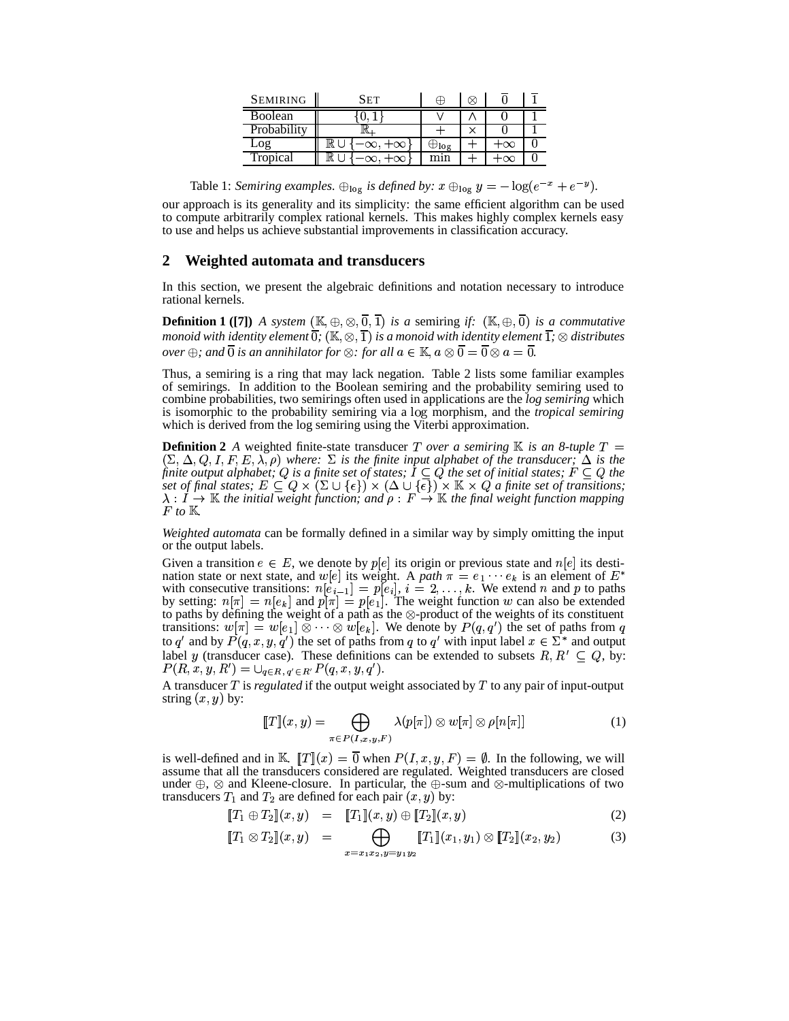| <b>SEMIRING</b> | <b>SET</b>                           | Œ            | ⊗ |           |  |
|-----------------|--------------------------------------|--------------|---|-----------|--|
| <b>Boolean</b>  |                                      |              |   |           |  |
| Probability     | TZ-                                  |              |   |           |  |
| LOg             | $\mathbb R$<br>$-\infty$ , $+\infty$ | $\oplus$ log |   | $+\infty$ |  |
| Tropical        | $\mathbb R$<br>$\infty, +\infty$     | mın          |   |           |  |

Table 1: Semiring examples.  $\oplus_{\log}$  is defined by:  $x \oplus_{\log} y = -\log(e^{-x} + e^{-y})$ .

our approach is its generality and its simplicity: the same efficient algorithm can be used to compute arbitrarily complex rational kernels. This makes highly complex kernels easy to use and helps us achieve substantial improvements in classification accuracy.

## **2 Weighted automata and transducers**

In this section, we present the algebraic definitions and notation necessary to introduce rational kernels.

**Definition 1** ([7]) *A system*  $(\mathbb{K}, \oplus, \otimes, \overline{0}, \overline{1})$  *is a* semiring *if:*  $(\mathbb{K}, \oplus, \overline{0})$  *is a commutative* monoid with identity element  $\overline{0}$ ;  $(\mathbb{K}, \otimes, \overline{1})$  is a monoid with identity element  $\overline{1}$ ;  $\otimes$  distributes  $over\oplus$ ; and  $\overline{0}$  is an annihilator for  $\otimes$ : for all  $a\in\mathbb{K},$   $a\otimes\overline{0}=\overline{0}\otimes a=\overline{0}.$ 

Thus, a semiring is a ring that may lack negation. Table 2 lists some familiar examples of semirings. In addition to the Boolean semiring and the probability semiring used to combine probabilities, two semirings often used in applications are the *log semiring* which is isomorphic to the probability semiring via a log morphism, and the *tropical semiring* which is derived from the log semiring using the Viterbi approximation.

**Definition 2** A weighted finite-state transducer T over a semiring  $\mathbb{K}$  is an 8-tuple T =  $(\Sigma, \Delta, Q, I, F, E, \lambda, \rho)$  where:  $\Sigma$  is the finite input alphabet of the transducer;  $\Delta$  is the *finite output alphabet;*  $Q$  *is a finite set of states;*  $I \subseteq Q$  *the set of initial states;*  $F \subseteq Q$  *the* set of final states;  $E \subseteq Q \times (\Sigma \cup \{\epsilon\}) \times (\Delta \cup \{\epsilon\}) \times \mathbb{K} \times Q$  a finite set of transitions;  $\lambda:I\to\mathbb{K}$  the initial weight function; and  $\rho:F\to\mathbb{K}$  the final weight function mapping  $F$  to  $\mathbb K$ .

*Weighted automata* can be formally defined in a similar way by simply omitting the input or the output labels.

Given a transition  $e \in E$ , we denote by  $p[e]$  its origin or previous state and  $n[e]$  its destination state or next state, and w[e] its weight. A *path*  $\pi = e_1 \cdots e_k$  is an element of  $E^*$ with consecutive transitions:  $n[e_{i-1}] = p[e_i], i = 2, \ldots, k$ . We extend n and p to paths by setting:  $n[\pi] = n[e_k]$  and  $p[\pi] = p[e_1]$ . The weight function w can also be extended to paths by defining the weight of a path as the  $\otimes$ -product of the weights of its constituent transitions:  $w[\pi] = w[e_1] \otimes \cdots \otimes w[e_k]$ . We denote by  $P(q, q')$  the set of paths from q to q' and by  $P(q, x, y, q')$  the set of paths from q to q' with input label  $x \in \Sigma^*$  and output label y (transducer case). These definitions can be extended to subsets  $R, R' \subseteq Q$ , by:  $P(R,x,y,R') = \cup_{q \in R, \ q' \in R'} P(q,x,y,q').$ 

A transducer  $T$  is *regulated* if the output weight associated by  $T$  to any pair of input-output string  $(x, y)$  by:

$$
\llbracket T \rrbracket(x,y) = \bigoplus_{\pi \in P(I,x,y,F)} \lambda(p[\pi]) \otimes w[\pi] \otimes \rho[n[\pi]] \tag{1}
$$

is well-defined and in  $\mathbb{K} \left[ T \right] (x) = \overline{0}$  when  $P(I, x, y, F) = \emptyset$ . In the following, we will assume that all the transducers considered are regulated. Weighted transducers are closed under  $\oplus$ ,  $\otimes$  and Kleene-closure. In particular, the  $\oplus$ -sum and  $\otimes$ -multiplications of two transducers  $T_1$  and  $T_2$  are defined for each pair  $(x, y)$  by:

$$
[[T_1 \oplus T_2](x,y) = [T_1](x,y) \oplus [[T_2](x,y)] \qquad (2)
$$

$$
[\![T_1 \otimes T_2]\!](x,y) = \bigoplus_{x = x_1 x_2, y = y_1 y_2} [\![T_1]\!](x_1, y_1) \otimes [\![T_2]\!](x_2, y_2) \tag{3}
$$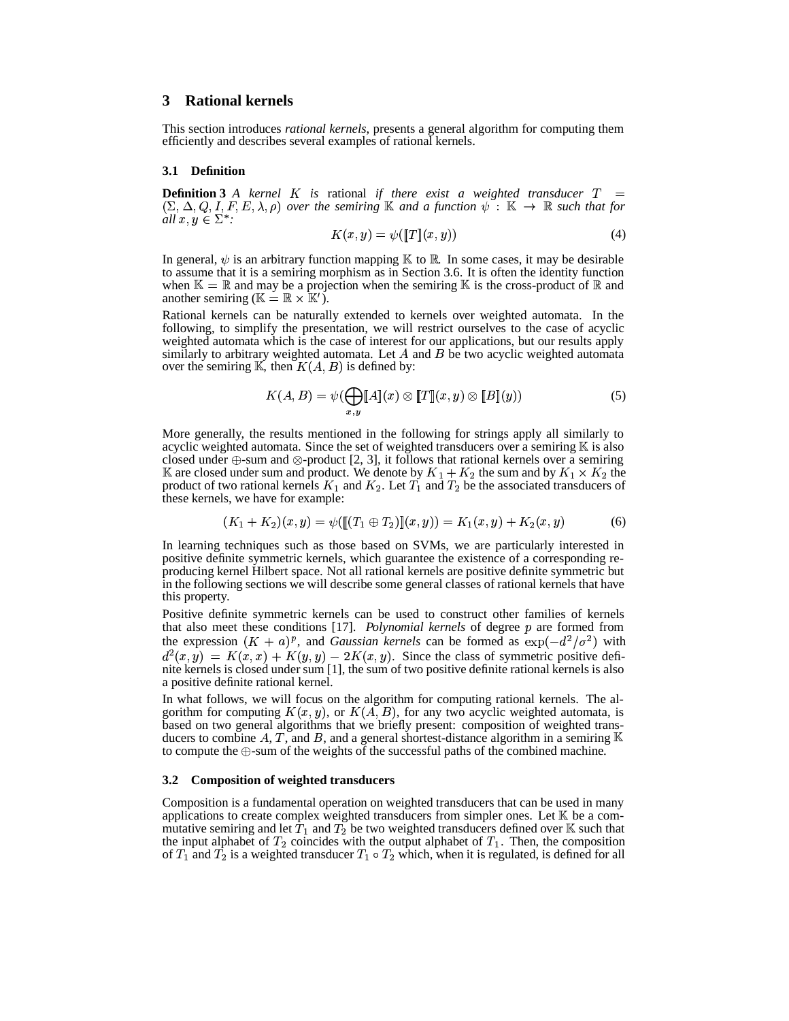## **3 Rational kernels**

This section introduces *rational kernels*, presents a general algorithm for computing them efficiently and describes several examples of rational kernels.

#### **3.1 Definition**

**Definition 3** A kernel K is rational if there exist a weighted transducer  $T =$  $(\Sigma, \Delta, Q, I, F, E, \lambda, \rho)$  over the semiring  $\mathbb K$  and a function  $\psi : \mathbb K \to \mathbb R$  such that for *all*  $x, y \in \Sigma^*$ :

$$
K(x, y) = \psi(\llbracket T \rrbracket(x, y))\tag{4}
$$

In general,  $\psi$  is an arbitrary function mapping K to R. In some cases, it may be desirable to assume that it is a semiring morphism as in Section 3.6. It is often the identity function when  $\mathbb{K} = \mathbb{R}$  and may be a projection when the semiring  $\mathbb{K}$  is the cross-product of  $\mathbb{R}$  and another semiring ( $\mathbb{K} = \mathbb{R} \times \mathbb{K}'$ ).

Rational kernels can be naturally extended to kernels over weighted automata. In the following, to simplify the presentation, we will restrict ourselves to the case of acyclic weighted automata which is the case of interest for our applications, but our results apply similarly to arbitrary weighted automata. Let  $A$  and  $B$  be two acyclic weighted automata over the semiring K, then  $K(A, B)$  is defined by:

$$
K(A, B) = \psi\left(\bigoplus_{x,y} [A][x] \otimes [T](x,y) \otimes [B](y)\right) \tag{5}
$$

More generally, the results mentioned in the following for strings apply all similarly to acyclic weighted automata. Since the set of weighted transducers over a semiring  $\mathbb K$  is also closed under  $\oplus$ -sum and  $\otimes$ -product [2, 3], it follows that rational kernels over a semiring K are closed under sum and product. We denote by  $K_1 + K_2$  the sum and by  $K_1 \times K_2$  the product of two rational kernels  $K_1$  and  $K_2$ . Let  $T_1$  and  $T_2$  be the associated transducers of these kernels, we have for example:

$$
(K_1 + K_2)(x, y) = \psi([[T_1 \oplus T_2)]|(x, y)) = K_1(x, y) + K_2(x, y)
$$
\n(6)

In learning techniques such as those based on SVMs, we are particularly interested in positive definite symmetric kernels, which guarantee the existence of a corresponding reproducing kernel Hilbert space. Not all rational kernels are positive definite symmetric but in the following sections we will describe some general classes of rational kernels that have this property.

Positive definite symmetric kernels can be used to construct other families of kernels that also meet these conditions  $[17]$ . *Polynomial kernels* of degree  $p$  are formed from the expression  $(K + a)<sup>p</sup>$ , and *Gaussian kernels* can be formed as  $\exp(-d^2/\sigma^2)$  with  $d^2(x,y) = K(x,x) + K(y,y) - 2K(x,y)$ . Since the class of symmetric positive definite kernels is closed under sum [1], the sum of two positive definite rational kernels is also a positive definite rational kernel.

In what follows, we will focus on the algorithm for computing rational kernels. The algorithm for computing  $K(x, y)$ , or  $K(A, B)$ , for any two acyclic weighted automata, is based on two general algorithms that we briefly present: composition of weighted transducers to combine A, T, and B, and a general shortest-distance algorithm in a semiring  $K$ to compute the  $\oplus$ -sum of the weights of the successful paths of the combined machine.

### **3.2 Composition of weighted transducers**

Composition is a fundamental operation on weighted transducers that can be used in many applications to create complex weighted transducers from simpler ones. Let  $\mathbb K$  be a commutative semiring and let  $T_1$  and  $T_2$  be two weighted transducers defined over  $\mathbb K$  such that the input alphabet of  $T_2$  coincides with the output alphabet of  $T_1$ . Then, the composition of  $T_1$  and  $T_2$  is a weighted transducer  $T_1 \circ T_2$  which, when it is regulated, is defined for all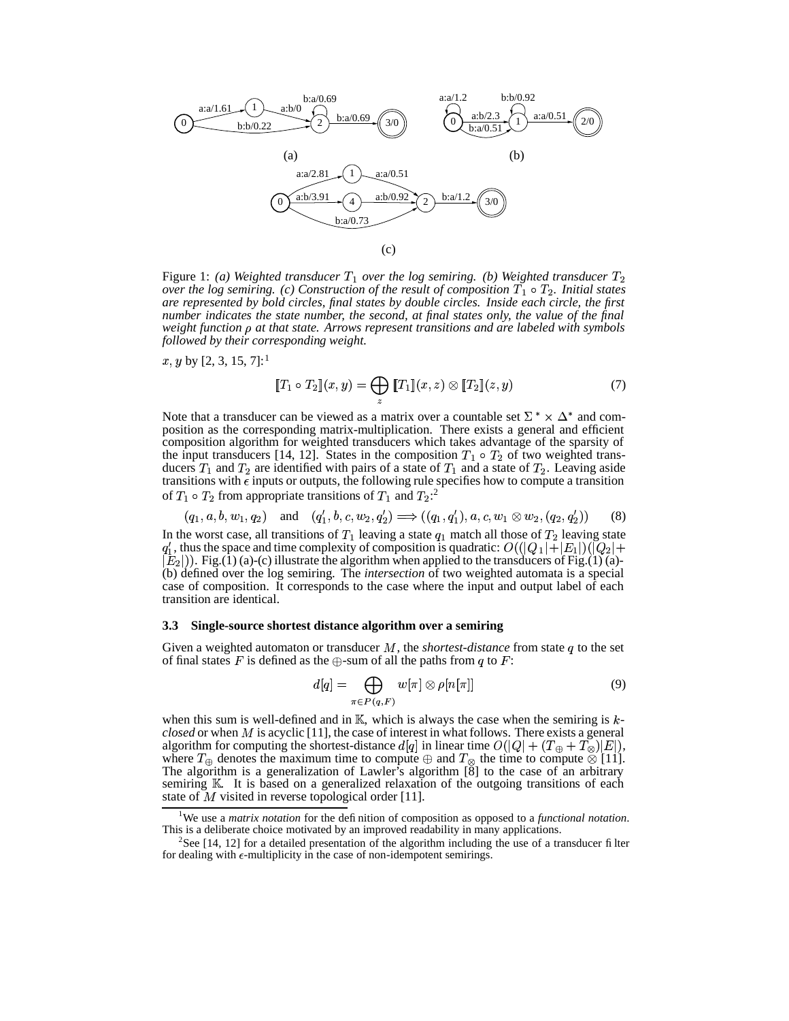

Figure 1: (a) Weighted transducer  $T_1$  over the log semiring. (b) Weighted transducer  $T_2$ *over the log semiring. (c) Construction of the result of composition*  $T_1 \circ T_2$ *. Initial states are represented by bold circles, final states by double circles. Inside each circle, the first number indicates the state number, the second, at final states only, the value of the final weight function*  $\rho$  *at that state. Arrows represent transitions and are labeled with symbols followed by their corresponding weight.*

 $x, y$  by [2, 3, 15, 7]:<sup>1</sup>

$$
\llbracket T_1 \circ T_2 \rrbracket(x, y) = \bigoplus_{z} \llbracket T_1 \rrbracket(x, z) \otimes \llbracket T_2 \rrbracket(z, y) \tag{7}
$$

Note that a transducer can be viewed as a matrix over a countable set  $\Sigma^* \times \Delta^*$  and composition as the corresponding matrix-multiplication. There exists a general and efficient composition algorithm for weighted transducers which takes advantage of the sparsity of the input transducers [14, 12]. States in the composition  $T_1 \circ T_2$  of two weighted transducers  $T_1$  and  $T_2$  are identified with pairs of a state of  $T_1$  and a state of  $T_2$ . Leaving aside transitions with  $\epsilon$  inputs or outputs, the following rule specifies how to compute a transition of  $T_1 \circ T_2$  from appropriate transitions of  $T_1$  and  $T_2$ <sup>2</sup>

$$
(q_1, a, b, w_1, q_2)
$$
 and  $(q'_1, b, c, w_2, q'_2) \implies ((q_1, q'_1), a, c, w_1 \otimes w_2, (q_2, q'_2))$  (8)

In the worst case, all transitions of  $T_1$  leaving a state  $q_1$  match all those of  $T_2$  leaving state  $q_1'$ , thus the space and time complexity of composition is quadratic:  $O((|Q_1|+|E_1|)(|Q_2|+$  $\mathbf{q}_1$ ,  $\mathbf{q}_2$ ,  $\mathbf{q}_3$ ,  $\mathbf{q}_4$ ,  $\mathbf{q}_5$ ,  $\mathbf{q}_6$ ,  $\mathbf{q}_7$ ,  $\mathbf{q}_8$ ,  $\mathbf{q}_9$ ,  $\mathbf{q}_9$ ,  $\mathbf{q}_9$ ,  $\mathbf{q}_9$ ,  $\mathbf{q}_9$ ,  $\mathbf{q}_9$ ,  $\mathbf{q}_9$ ,  $\mathbf{q}_9$ ,  $\mathbf{q}_9$ ,  $\mathbf{q}_9$ ,  $\mathbf{q}_9$ ,  $\mathbf{q}_9$ ,  $\bar{E}_2$   $\rangle$ ). Fig.(1) (a)-(c) illustrate the algorithm when applied to the transducers of Fig.(1) (a)-(b) defined over the log semiring. The *intersection* of two weighted automata is a special case of composition. It corresponds to the case where the input and output label of each transition are identical.

#### **3.3 Single-source shortest distance algorithm over a semiring**

Given a weighted automaton or transducer  $M$ , the *shortest-distance* from state  $q$  to the set of final states F is defined as the  $\oplus$ -sum of all the paths from q to F:

$$
d[q] = \bigoplus_{\pi \in P(q,F)} w[\pi] \otimes \rho[n[\pi]] \tag{9}
$$

when this sum is well-defined and in  $K$ , which is always the case when the semiring is  $k$ *closed* or when  $M$  is acyclic [11], the case of interest in what follows. There exists a general algorithm for computing the shortest-distance  $d[q]$  in linear time  $O(|Q| + (T_{\oplus} + T_{\otimes})|E|)$ , where  $T_{\oplus}$  denotes the maximum time to compute  $\oplus$  and  $T_{\otimes}$  the time to compute  $\otimes$  [11]. The algorithm is a generalization of Lawler's algorithm [8] to the case of an arbitrary semiring K. It is based on a generalized relaxation of the outgoing transitions of each state of  $M$  visited in reverse topological order [11].

<sup>1</sup>We use a *matrix notation* for the definition of composition as opposed to a *functional notation*. This is a deliberate choice motivated by an improved readability in many applications.

<sup>&</sup>lt;sup>2</sup>See [14, 12] for a detailed presentation of the algorithm including the use of a transducer filter for dealing with  $\epsilon$ -multiplicity in the case of non-idempotent semirings.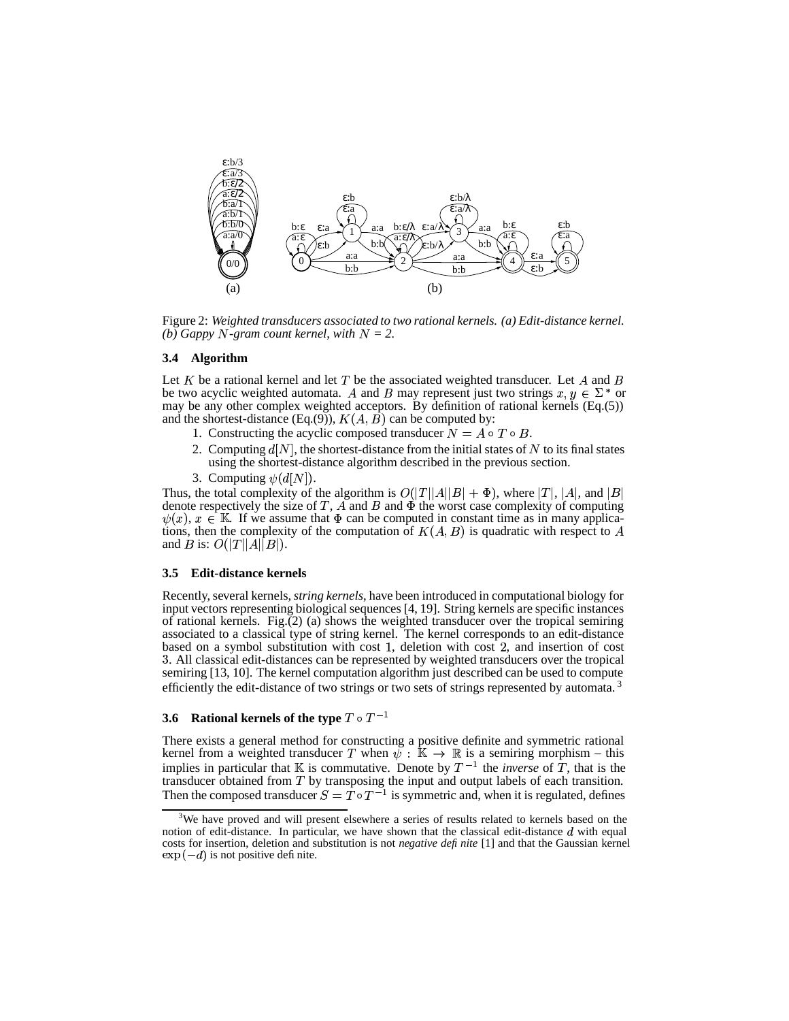

Figure 2: *Weighted transducers associated to two rational kernels. (a) Edit-distance kernel. (b) Gappy*  $N$ -gram count kernel, with  $N = 2$ .

### **3.4 Algorithm**

Let  $K$  be a rational kernel and let  $T$  be the associated weighted transducer. Let  $A$  and  $B$ be two acyclic weighted automata. A and B may represent just two strings  $x, y \in \Sigma^*$  or may be any other complex weighted acceptors. By definition of rational kernels (Eq.(5)) and the shortest-distance (Eq.(9)),  $K(A, B)$  can be computed by:

- 1. Constructing the acyclic composed transducer  $N = A \circ T \circ B$ .
- 2. Computing  $d[N]$ , the shortest-distance from the initial states of N to its final states using the shortest-distance algorithm described in the previous section.
- 3. Computing  $\psi(d[N])$ .

Thus, the total complexity of the algorithm is  $O(|T||A||B| + \Phi)$ , where |T|, |A|, and |B| denote respectively the size of T,  $\overline{A}$  and  $\overline{B}$  and  $\overline{\Phi}$  the worst case complexity of computing  $\psi(x), x \in \mathbb{K}$  If we assume that  $\Phi$  can be computed in constant time as in many applications, then the complexity of the computation of  $K(A, B)$  is quadratic with respect to A and B is:  $O(|T||A||B|)$ .

#### **3.5 Edit-distance kernels**

Recently, several kernels,*string kernels*, have been introduced in computational biology for input vectors representing biological sequences [4, 19]. String kernels are specific instances of rational kernels. Fig.(2) (a) shows the weighted transducer over the tropical semiring associated to a classical type of string kernel. The kernel corresponds to an edit-distance based on a symbol substitution with cost 1, deletion with cost 2, and insertion of cost . All classical edit-distances can be represented by weighted transducers over the tropical semiring [13, 10]. The kernel computation algorithm just described can be used to compute efficiently the edit-distance of two strings or two sets of strings represented by automata.<sup>3</sup>

### **3.6 Rational kernels of the type**  $T \circ T^{-1}$

There exists a general method for constructing a positive definite and symmetric rational kernel from a weighted transducer T when  $\psi : \mathbb{K} \to \mathbb{R}$  is a semiring morphism – this implies in particular that  $\mathbb K$  is commutative. Denote by  $T^{-1}$  the *inverse* of T, that is the transducer obtained from  $T$  by transposing the input and output labels of each transition. Then the composed transducer  $S = T \circ T^{-1}$  is symmetric and, when it is regulated, defines

<sup>&</sup>lt;sup>3</sup>We have proved and will present elsewhere a series of results related to kernels based on the notion of edit-distance. In particular, we have shown that the classical edit-distance  $d$  with equal costs for insertion, deletion and substitution is not *negative definite* [1] and that the Gaussian kernel  $\exp(-d)$  is not positive definite.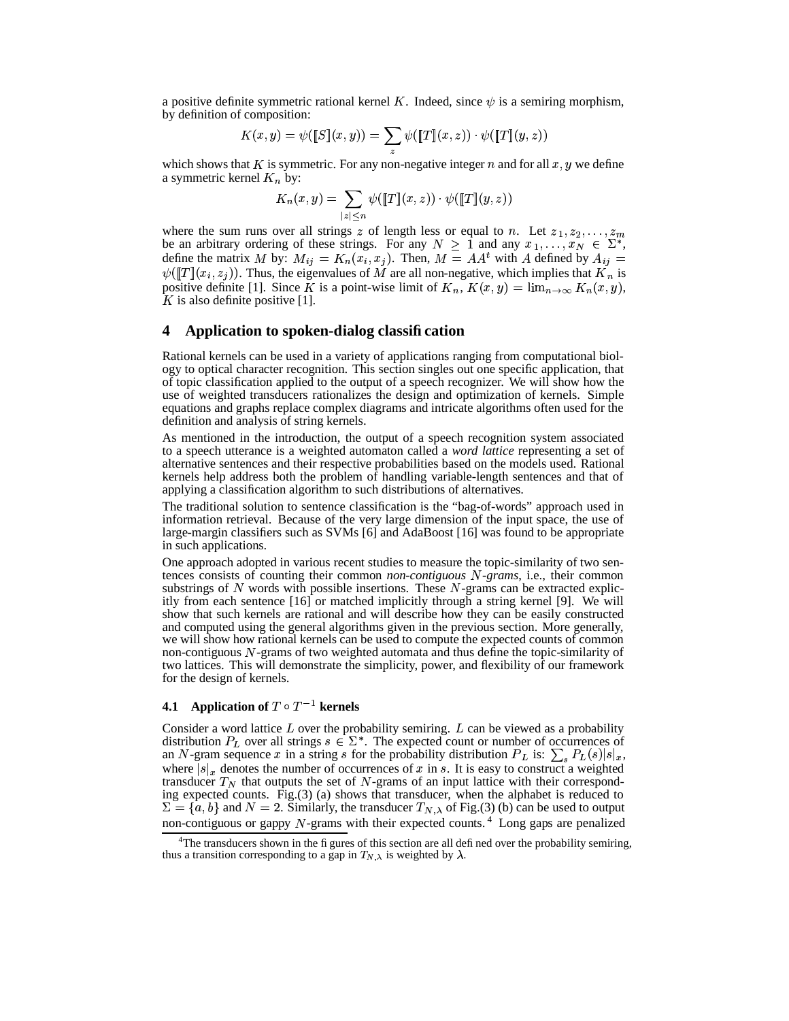a positive definite symmetric rational kernel K. Indeed, since  $\psi$  is a semiring morphism, by definition of composition:

$$
K(x,y) = \psi(\llbracket S \rrbracket(x,y)) = \sum_{z} \psi(\llbracket T \rrbracket(x,z)) \cdot \psi(\llbracket T \rrbracket(y,z))
$$

which shows that K is symmetric. For any non-negative integer n and for all  $x, y$  we define a symmetric kernel  $K_n$  by:

$$
K_n(x,y) = \sum_{|z| \leq n} \psi(\llbracket T \rrbracket(x,z)) \cdot \psi(\llbracket T \rrbracket(y,z))
$$

where the sum runs over all strings z of length less or equal to n. Let  $z_1, z_2, \ldots, z_m$ <br>be an arbitrary ordering of these strings. For any  $N \ge 1$  and any  $x_1, \ldots, x_N \in \Sigma^*$ , define the matrix M by:  $M_{ij} = K_n(x_i, x_j)$ . Then,  $M = AA^t$  with A defined by  $A_{ij} =$  $\psi(\llbracket T \rrbracket(x_i, z_i))$ . Thus, the eigenvalues of M are all non-negative, which implies that  $K_n$  is positive definite [1]. Since K is a point-wise limit of  $K_n$ ,  $K(x, y) = \lim_{n \to \infty} K_n(x, y)$ ,  $K$  is also definite positive [1].

## **4 Application to spoken-dialog classification**

Rational kernels can be used in a variety of applications ranging from computational biology to optical character recognition. This section singles out one specific application, that of topic classification applied to the output of a speech recognizer. We will show how the use of weighted transducers rationalizes the design and optimization of kernels. Simple equations and graphs replace complex diagrams and intricate algorithms often used for the definition and analysis of string kernels.

As mentioned in the introduction, the output of a speech recognition system associated to a speech utterance is a weighted automaton called a *word lattice* representing a set of alternative sentences and their respective probabilities based on the models used. Rational kernels help address both the problem of handling variable-length sentences and that of applying a classification algorithm to such distributions of alternatives.

The traditional solution to sentence classification is the "bag-of-words" approach used in information retrieval. Because of the very large dimension of the input space, the use of large-margin classifiers such as SVMs [6] and AdaBoost [16] was found to be appropriate in such applications.

One approach adopted in various recent studies to measure the topic-similarity of two sentences consists of counting their common *non-contiguous N-grams*, i.e., their common substrings of  $N$  words with possible insertions. These  $N$ -grams can be extracted explicitly from each sentence [16] or matched implicitly through a string kernel [9]. We will show that such kernels are rational and will describe how they can be easily constructed and computed using the general algorithms given in the previous section. More generally, we will show how rational kernels can be used to compute the expected counts of common non-contiguous  $N$ -grams of two weighted automata and thus define the topic-similarity of two lattices. This will demonstrate the simplicity, power, and flexibility of our framework for the design of kernels.

#### **4.1** Application of  $T \circ T^{-1}$  kernels

Consider a word lattice  $L$  over the probability semiring.  $L$  can be viewed as a probability distribution  $P_L$  over all strings  $s \in \Sigma^*$ . The expected count or number of occurrences of an N-gram sequence x in a string s for the probability distribution  $P_L$  is:  $\sum_s P_L(s)|s|_x$ , where  $|s|_x$  denotes the number of occurrences of x in s. It is easy to construct a weighted transducer  $T_N$  that outputs the set of N-grams of an input lattice with their corresponding expected counts. Fig.(3) (a) shows that transducer, when the alphabet is reduced to A  $=\{a, b\}$  and  $N=2$ . Similarly, the transducer  $T_{N,\lambda}$  of Fig.(3) (b) can be used to output non-contiguous or gappy  $N$ -grams with their expected counts.<sup>4</sup> Long gaps are penalized

<sup>&</sup>lt;sup>4</sup>The transducers shown in the figures of this section are all defined over the probability semiring, thus a transition corresponding to a gap in  $T_{N,\lambda}$  is weighted by  $\lambda$ .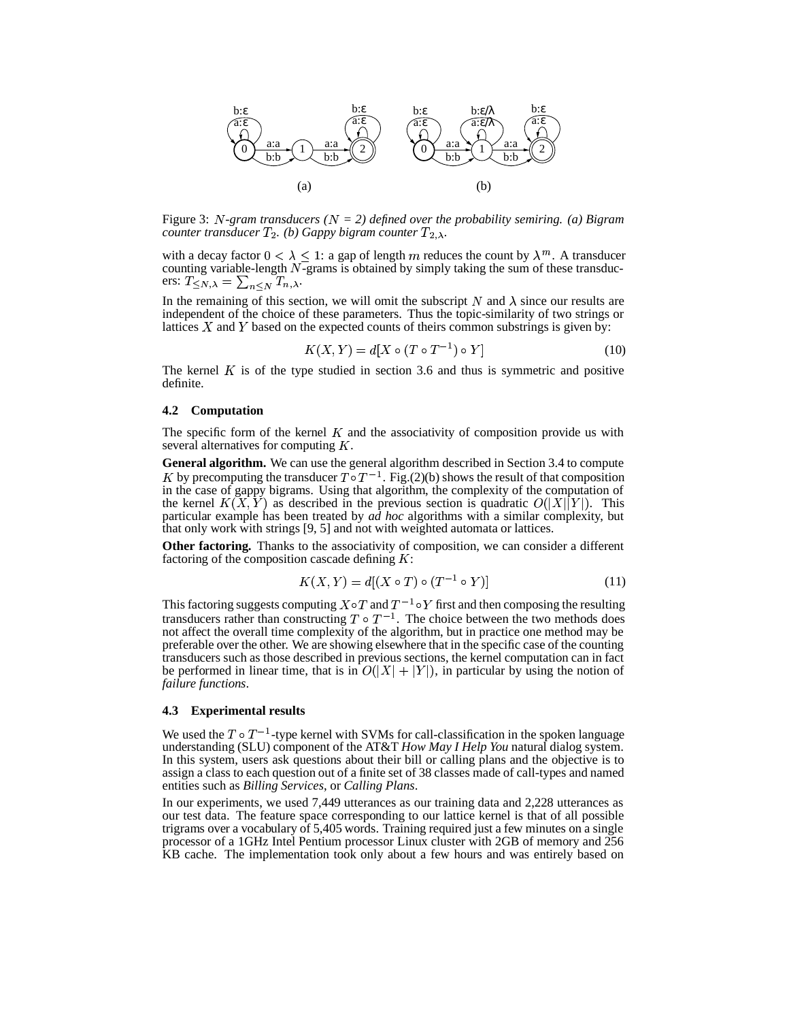

Figure 3: *N*-gram transducers ( $N = 2$ ) defined over the probability semiring. (a) Bigram *counter transducer*  $T_2$ *. (b) Gappy bigram counter*  $T_{2,\lambda}$ *.* 

with a decay factor  $0 < \lambda \leq 1$ : a gap of length m reduces the count by  $\lambda^m$ . A transducer counting variable-length  $N$ -grams is obtained by simply taking the sum of these transducers:  $T_{\leq N,\lambda} = \sum_{n \leq N} T_{n,\lambda}$ .

In the remaining of this section, we will omit the subscript  $N$  and  $\lambda$  since our results are independent of the choice of these parameters. Thus the topic-similarity of two strings or lattices  $X$  and  $Y$  based on the expected counts of theirs common substrings is given by:

$$
K(X,Y) = d[X \circ (T \circ T^{-1}) \circ Y]
$$
\n<sup>(10)</sup>

The kernel  $K$  is of the type studied in section 3.6 and thus is symmetric and positive definite.

#### **4.2 Computation**

The specific form of the kernel  $K$  and the associativity of composition provide us with several alternatives for computing  $K$ .

General algorithm. We can use the general algorithm described in Section 3.4 to compute K by precomputing the transducer  $T \circ T^{-1}$ . Fig.(2)(b) shows the result of that composition in the case of gappy bigrams. Using that algorithm, the complexity of the computation of the kernel  $K(\overline{X}, \overline{Y})$  as described in the previous section is quadratic  $O(|X| |Y|)$ . This particular example has been treated by *ad hoc* algorithms with a similar complexity, but that only work with strings [9, 5] and not with weighted automata or lattices.

**Other factoring.** Thanks to the associativity of composition, we can consider a different factoring of the composition cascade defining  $K$ :

$$
K(X, Y) = d[(X \circ T) \circ (T^{-1} \circ Y)]
$$
\n(11)

This factoring suggests computing  $X \circ T$  and  $T^{-1} \circ Y$  first and then composing the resulting transducers rather than constructing  $T \circ T^{-1}$ . The choice between the two methods does not affect the overall time complexity of the algorithm, but in practice one method may be preferable over the other. We are showing elsewhere that in the specific case of the counting transducers such as those described in previous sections, the kernel computation can in fact be performed in linear time, that is in  $O(|X| + |Y|)$ , in particular by using the notion of *failure functions*.

#### **4.3 Experimental results**

We used the  $T \circ T^{-1}$ -type kernel with SVMs for call-classification in the spoken language understanding (SLU) component of the AT&T *How May I Help You* natural dialog system. In this system, users ask questions about their bill or calling plans and the objective is to assign a class to each question out of a finite set of 38 classes made of call-types and named entities such as *Billing Services*, or *Calling Plans*.

In our experiments, we used 7,449 utterances as our training data and 2,228 utterances as our test data. The feature space corresponding to our lattice kernel is that of all possible trigrams over a vocabulary of 5,405 words. Training required just a few minutes on a single processor of a 1GHz Intel Pentium processor Linux cluster with 2GB of memory and 256 KB cache. The implementation took only about a few hours and was entirely based on